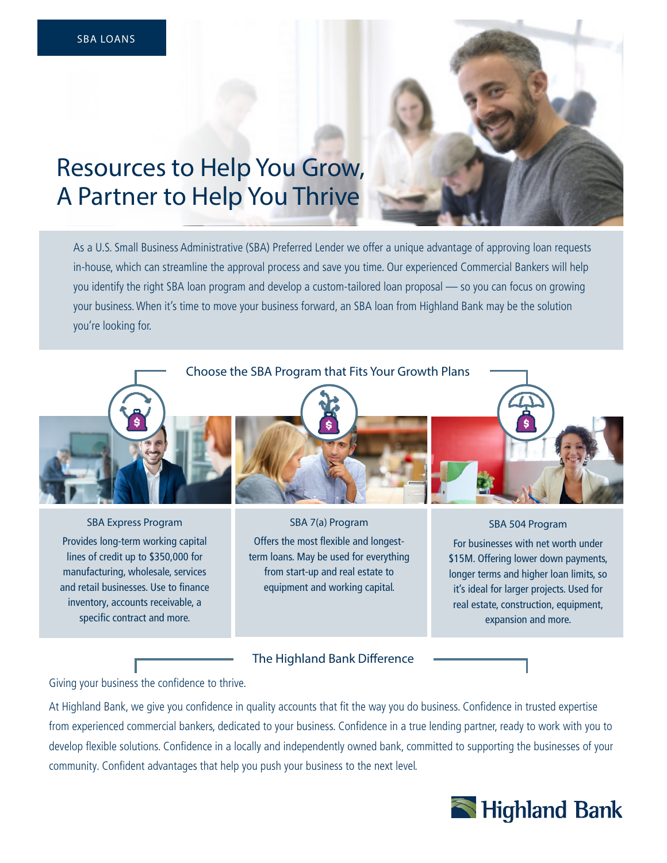

As a U.S. Small Business Administrative (SBA) Preferred Lender we offer a unique advantage of approving loan requests in-house, which can streamline the approval process and save you time. Our experienced Commercial Bankers will help you identify the right SBA loan program and develop a custom-tailored loan proposal — so you can focus on growing your business. When it's time to move your business forward, an SBA loan from Highland Bank may be the solution you're looking for.





SBA Express Program Provides long-term working capital lines of credit up to \$350,000 for manufacturing, wholesale, services and retail businesses. Use to finance inventory, accounts receivable, a specific contract and more.



SBA 7(a) Program Offers the most flexible and longestterm loans. May be used for everything from start-up and real estate to equipment and working capital.



SBA 504 Program For businesses with net worth under \$15M. Offering lower down payments, longer terms and higher loan limits, so it's ideal for larger projects. Used for real estate, construction, equipment, expansion and more.

The Highland Bank Difference

Giving your business the confidence to thrive.

At Highland Bank, we give you confidence in quality accounts that fit the way you do business. Confidence in trusted expertise from experienced commercial bankers, dedicated to your business. Confidence in a true lending partner, ready to work with you to develop flexible solutions. Confidence in a locally and independently owned bank, committed to supporting the businesses of your community. Confident advantages that help you push your business to the next level.